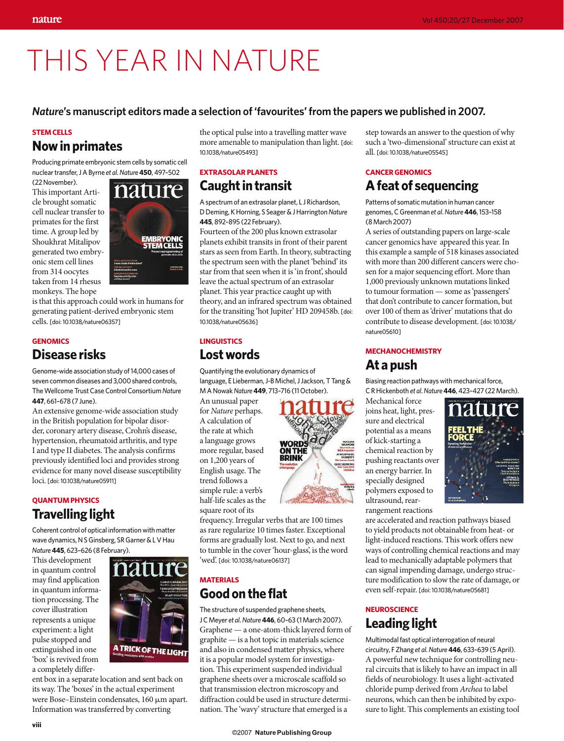# THIS YEAR IN NATURE

#### *Nature***'s manuscript editors made a selection of 'favourites' from the papers we published in 2007.**

#### **STEM CELLS**

# **Now in primates**

Producing primate embryonic stem cells by somatic cell nuclear transfer, J A Byrne *et al. Nature***450**, 497–502

(22 November). This important Article brought somatic cell nuclear transfer to primates for the first time. A group led by Shoukhrat Mitalipov generated two embryonic stem cell lines from 314 oocytes taken from 14 rhesus monkeys. The hope

is that this approach could work in humans for generating patient-derived embryonic stem cells. [doi: 10.1038/nature06357]

## **GENOMICS Disease risks**

Genome-wide association study of 14,000 cases of seven common diseases and 3,000 shared controls, The Wellcome Trust Case Control Consortium *Nature* **447**, 661–678 (7 June).

An extensive genome-wide association study in the British population for bipolar disorder, coronary artery disease, Crohn's disease, hypertension, rheumatoid arthritis, and type I and type II diabetes. The analysis confirms previously identified loci and provides strong evidence for many novel disease susceptibility loci. [doi: 10.1038/nature05911]

## **QUANTUM PHYSICS Travelling light**

Coherent control of optical information with matter wave dynamics, N S Ginsberg, SR Garner & L V Hau *Nature***445**, 623–626 (8 February).

This development in quantum control may find application in quantum information processing. The cover illustration represents a unique experiment: a light pulse stopped and extinguished in one 'box' is revived from a completely differ-



ent box in a separate location and sent back on its way. The 'boxes' in the actual experiment were Bose–Einstein condensates, 160 µm apart. Information was transferred by converting

nature

the optical pulse into a travelling matter wave more amenable to manipulation than light. [doi: 10.1038/nature05493]

#### **EXTRASOLAR PLANETS Caught in transit**

A spectrum of an extrasolar planet, L J Richardson, D Deming, K Horning, S Seager & J Harrington *Nature* **445**, 892–895 (22 February).

Fourteen of the 200 plus known extrasolar planets exhibit transits in front of their parent stars as seen from Earth. In theory, subtracting the spectrum seen with the planet 'behind' its star from that seen when it is 'in front', should leave the actual spectrum of an extrasolar planet. This year practice caught up with theory, and an infrared spectrum was obtained for the transiting 'hot Jupiter' HD 209458b. [doi: 10.1038/nature05636]

# **LINGUISTICS**

## **Lost words**

Quantifying the evolutionary dynamics of language, E Lieberman, J-B Michel, J Jackson, T Tang & M A Nowak *Nature***449**, 713–716 (11 October).

An unusual paper for *Nature* perhaps. A calculation of the rate at which a language grows more regular, based on 1,200 years of English usage. The trend follows a simple rule: a verb's half-life scales as the square root of its



frequency. Irregular verbs that are 100 times as rare regularize 10 times faster. Exceptional forms are gradually lost. Next to go, and next to tumble in the cover 'hour-glass', is the word 'wed'. [doi: 10.1038/nature06137]

## **MATERIALS Good on the flat**

The structure of suspended graphene sheets, J C Meyer *et al.Nature***446**, 60–63 (1 March 2007). Graphene — a one-atom-thick layered form of graphite — is a hot topic in materials science and also in condensed matter physics, where it is a popular model system for investigation. This experiment suspended individual graphene sheets over a microscale scaffold so that transmission electron microscopy and diffraction could be used in structure determination. The 'wavy' structure that emerged is a

step towards an answer to the question of why such a 'two-dimensional' structure can exist at all. [doi: 10.1038/nature05545]

## **CANCER GENOMICS A feat of sequencing**

Patterns of somatic mutation in human cancer genomes, C Greenman *et al*. *Nature* **446**, 153–158 (8 March 2007)

A series of outstanding papers on large-scale cancer genomics have appeared this year. In this example a sample of 518 kinases associated with more than 200 different cancers were chosen for a major sequencing effort. More than 1,000 previously unknown mutations linked to tumour formation — some as 'passengers' that don't contribute to cancer formation, but over 100 of them as 'driver' mutations that do contribute to disease development. [doi: 10.1038/ nature05610]

#### **MECHANOCHEMISTRY At a push**

Biasing reaction pathways with mechanical force, C R Hickenboth *et al*. *Nature***446**, 423–427 (22 March).

Mechanical force joins heat, light, pressure and electrical potential as a means of kick-starting a chemical reaction by pushing reactants over an energy barrier. In specially designed polymers exposed to ultrasound, rearrangement reactions



are accelerated and reaction pathways biased to yield products not obtainable from heat- or light-induced reactions. This work offers new ways of controlling chemical reactions and may lead to mechanically adaptable polymers that can signal impending damage, undergo structure modification to slow the rate of damage, or even self-repair. [doi: 10.1038/nature05681]

## **NEUROSCIENCE Leading light**

Multimodal fast optical interrogation of neural circuitry, F Zhang *et al. Nature***446**, 633–639 (5 April). A powerful new technique for controlling neural circuits that is likely to have an impact in all fields of neurobiology. It uses a light-activated chloride pump derived from *Archea* to label neurons, which can then be inhibited by exposure to light. This complements an existing tool